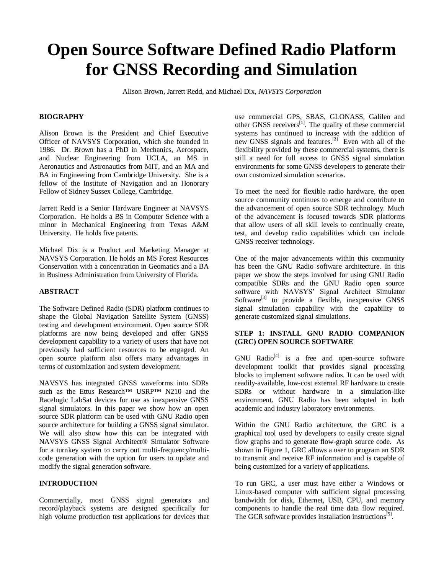# **Open Source Software Defined Radio Platform for GNSS Recording and Simulation**

Alison Brown, Jarrett Redd, and Michael Dix, *NAVSYS Corporation*

#### **BIOGRAPHY**

Alison Brown is the President and Chief Executive Officer of NAVSYS Corporation, which she founded in 1986. Dr. Brown has a PhD in Mechanics, Aerospace, and Nuclear Engineering from UCLA, an MS in Aeronautics and Astronautics from MIT, and an MA and BA in Engineering from Cambridge University. She is a fellow of the Institute of Navigation and an Honorary Fellow of Sidney Sussex College, Cambridge.

Jarrett Redd is a Senior Hardware Engineer at NAVSYS Corporation. He holds a BS in Computer Science with a minor in Mechanical Engineering from Texas A&M University. He holds five patents.

Michael Dix is a Product and Marketing Manager at NAVSYS Corporation. He holds an MS Forest Resources Conservation with a concentration in Geomatics and a BA in Business Administration from University of Florida.

## **ABSTRACT**

The Software Defined Radio (SDR) platform continues to shape the Global Navigation Satellite System (GNSS) testing and development environment. Open source SDR platforms are now being developed and offer GNSS development capability to a variety of users that have not previously had sufficient resources to be engaged. An open source platform also offers many advantages in terms of customization and system development.

NAVSYS has integrated GNSS waveforms into SDRs such as the Ettus Research™ USRP™ N210 and the Racelogic LabSat devices for use as inexpensive GNSS signal simulators. In this paper we show how an open source SDR platform can be used with GNU Radio open source architecture for building a GNSS signal simulator. We will also show how this can be integrated with NAVSYS GNSS Signal Architect® Simulator Software for a turnkey system to carry out multi-frequency/multicode generation with the option for users to update and modify the signal generation software.

#### **INTRODUCTION**

Commercially, most GNSS signal generators and record/playback systems are designed specifically for high volume production test applications for devices that <span id="page-0-0"></span>use commercial GPS, SBAS, GLONASS, Galileo and other GNSS receivers $^{[1]}$ . The quality of these commercial systems has continued to increase with the addition of new GNSS signals and features.<sup>[2]</sup> Even with all of the flexibility provided by these commercial systems, there is still a need for full access to GNSS signal simulation environments for some GNSS developers to generate their own customized simulation scenarios.

To meet the need for flexible radio hardware, the open source community continues to emerge and contribute to the advancement of open source SDR technology. Much of the advancement is focused towards SDR platforms that allow users of all skill levels to continually create, test, and develop radio capabilities which can include GNSS receiver technology.

One of the major advancements within this community has been the GNU Radio software architecture. In this paper we show the steps involved for using GNU Radio compatible SDRs and the GNU Radio open source software with NAVSYS' Signal Architect Simulator Software<sup>[3]</sup> to provide a flexible, inexpensive GNSS signal simulation capability with the capability to generate customized signal simulations.

## **STEP 1: INSTALL GNU RADIO COMPANION (GRC) OPEN SOURCE SOFTWARE**

GNU Radio<sup>[4]</sup> is a free and open-source software development toolkit that provides signal processing blocks to implement software radios. It can be used with readily-available, low-cost external RF hardware to create SDRs or without hardware in a simulation-like environment. GNU Radio has been adopted in both academic and industry laboratory environments.

Within the GNU Radio architecture, the GRC is a graphical tool used by developers to easily create signal flow graphs and to generate flow-graph source code. As shown in [Figure 1,](#page-1-0) GRC allows a user to program an SDR to transmit and receive RF information and is capable of being customized for a variety of applications.

To run GRC, a user must have either a Windows or Linux-based computer with sufficient signal processing bandwidth for disk, Ethernet, USB, CPU, and memory components to handle the real time data flow required. The GCR software provides installation instructions<sup>[5]</sup>.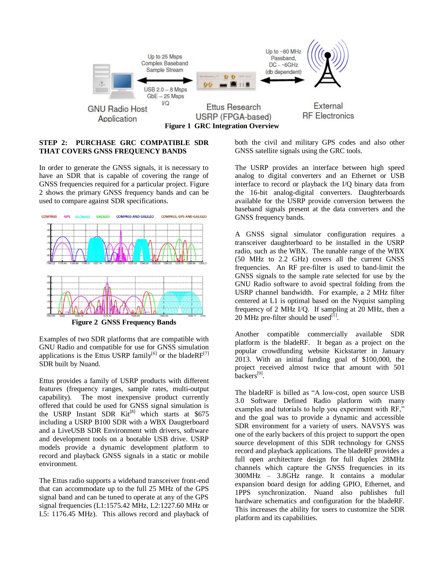

## <span id="page-1-0"></span>**STEP 2: PURCHASE GRC COMPATIBLE SDR THAT COVERS GNSS FREQUENCY BANDS**

In order to generate the GNSS signals, it is necessary to have an SDR that is capable of covering the range of GNSS frequencies required for a particular project. [Figure](#page-1-1)  [2](#page-1-1) shows the primary GNSS frequency bands and can be used to compare against SDR specifications.



**Figure 2 GNSS Frequency Bands**

<span id="page-1-1"></span>Examples of two SDR platforms that are compatible with GNU Radio and compatible for use for GNSS simulation applications is the Ettus USRP family<sup>[6]</sup> or the bladeRF<sup>[7]</sup> SDR built by Nuand.

Ettus provides a family of USRP products with different features (frequency ranges, sample rates, multi-output capability). The most inexpensive product currently offered that could be used for GNSS signal simulation is the USRP Instant SDR Kit<sup>[8]</sup> which starts at \$675 including a USRP B100 SDR with a WBX Daugterboard and a LiveUSB SDR Environment with drivers, software and development tools on a bootable USB drive. USRP models provide a dynamic development platform to record and playback GNSS signals in a static or mobile environment.

The Ettus radio supports a wideband transceiver front-end that can accommodate up to the full 25 MHz of the GPS signal band and can be tuned to operate at any of the GPS signal frequencies (L1:1575.42 MHz, L2:1227.60 MHz or L5: 1176.45 MHz). This allows record and playback of

both the civil and military GPS codes and also other GNSS satellite signals using the GRC tools.

The USRP provides an interface between high speed analog to digital converters and an Ethernet or USB interface to record or playback the I/Q binary data from the 16-bit analog-digital converters. Daughterboards available for the USRP provide conversion between the baseband signals present at the data converters and the GNSS frequency bands.

A GNSS signal simulator configuration requires a transceiver daughterboard to be installed in the USRP radio, such as the WBX. The tunable range of the WBX (50 MHz to 2.2 GHz) covers all the current GNSS frequencies. An RF pre-filter is used to band-limit the GNSS signals to the sample rate selected for use by the GNU Radio software to avoid spectral folding from the USRP channel bandwidth. For example, a 2 MHz filter centered at L1 is optimal based on the Nyquist sampling frequency of 2 MHz I/Q. If sampling at 20 MHz, then a 20 MHz pre-filter should be used $^{[1]}$  $^{[1]}$  $^{[1]}$ .

Another compatible commercially available SDR platform is the bladeRF. It began as a project on the popular crowdfunding website Kickstarter in January 2013. With an initial funding goal of \$100,000, the project received almost twice that amount with 501 backers<sup>[9]</sup>.

The bladeRF is billed as "A low-cost, open source USB 3.0 Software Defined Radio platform with many examples and tutorials to help you experiment with RF," and the goal was to provide a dynamic and accessible SDR environment for a variety of users. NAVSYS was one of the early backers of this project to support the open source development of this SDR technology for GNSS record and playback applications. The bladeRF provides a full open architecture design for full duplex 28MHz channels which capture the GNSS frequencies in its 300MHz – 3.8GHz range. It contains a modular expansion board design for adding GPIO, Ethernet, and 1PPS synchronization. Nuand also publishes full hardware schematics and configuration for the bladeRF. This increases the ability for users to customize the SDR platform and its capabilities.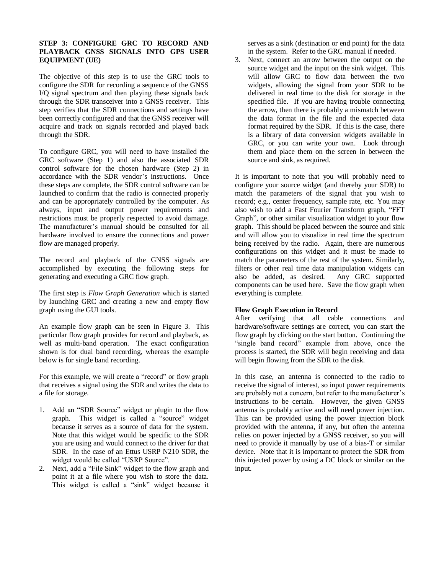#### **STEP 3: CONFIGURE GRC TO RECORD AND PLAYBACK GNSS SIGNALS INTO GPS USER EQUIPMENT (UE)**

The objective of this step is to use the GRC tools to configure the SDR for recording a sequence of the GNSS I/Q signal spectrum and then playing these signals back through the SDR transceiver into a GNSS receiver. This step verifies that the SDR connections and settings have been correctly configured and that the GNSS receiver will acquire and track on signals recorded and played back through the SDR.

To configure GRC, you will need to have installed the GRC software (Step 1) and also the associated SDR control software for the chosen hardware (Step 2) in accordance with the SDR vendor's instructions. Once these steps are complete, the SDR control software can be launched to confirm that the radio is connected properly and can be appropriately controlled by the computer. As always, input and output power requirements and restrictions must be properly respected to avoid damage. The manufacturer's manual should be consulted for all hardware involved to ensure the connections and power flow are managed properly.

The record and playback of the GNSS signals are accomplished by executing the following steps for generating and executing a GRC flow graph.

The first step is *Flow Graph Generation* which is started by launching GRC and creating a new and empty flow graph using the GUI tools.

An example flow graph can be seen in [Figure 3.](#page-3-0) This particular flow graph provides for record and playback, as well as multi-band operation. The exact configuration shown is for dual band recording, whereas the example below is for single band recording.

For this example, we will create a "record" or flow graph that receives a signal using the SDR and writes the data to a file for storage.

- 1. Add an "SDR Source" widget or plugin to the flow graph. This widget is called a "source" widget because it serves as a source of data for the system. Note that this widget would be specific to the SDR you are using and would connect to the driver for that SDR. In the case of an Ettus USRP N210 SDR, the widget would be called "USRP Source".
- 2. Next, add a "File Sink" widget to the flow graph and point it at a file where you wish to store the data. This widget is called a "sink" widget because it

serves as a sink (destination or end point) for the data in the system. Refer to the GRC manual if needed.

3. Next, connect an arrow between the output on the source widget and the input on the sink widget. This will allow GRC to flow data between the two widgets, allowing the signal from your SDR to be delivered in real time to the disk for storage in the specified file. If you are having trouble connecting the arrow, then there is probably a mismatch between the data format in the file and the expected data format required by the SDR. If this is the case, there is a library of data conversion widgets available in GRC, or you can write your own. Look through them and place them on the screen in between the source and sink, as required.

It is important to note that you will probably need to configure your source widget (and thereby your SDR) to match the parameters of the signal that you wish to record; e.g., center frequency, sample rate, etc. You may also wish to add a Fast Fourier Transform graph, "FFT Graph", or other similar visualization widget to your flow graph. This should be placed between the source and sink and will allow you to visualize in real time the spectrum being received by the radio. Again, there are numerous configurations on this widget and it must be made to match the parameters of the rest of the system. Similarly, filters or other real time data manipulation widgets can also be added, as desired. Any GRC supported components can be used here. Save the flow graph when everything is complete.

## **Flow Graph Execution in Record**

After verifying that all cable connections and hardware/software settings are correct, you can start the flow graph by clicking on the start button. Continuing the "single band record" example from above, once the process is started, the SDR will begin receiving and data will begin flowing from the SDR to the disk.

In this case, an antenna is connected to the radio to receive the signal of interest, so input power requirements are probably not a concern, but refer to the manufacturer's instructions to be certain. However, the given GNSS antenna is probably active and will need power injection. This can be provided using the power injection block provided with the antenna, if any, but often the antenna relies on power injected by a GNSS receiver, so you will need to provide it manually by use of a bias-T or similar device. Note that it is important to protect the SDR from this injected power by using a DC block or similar on the input.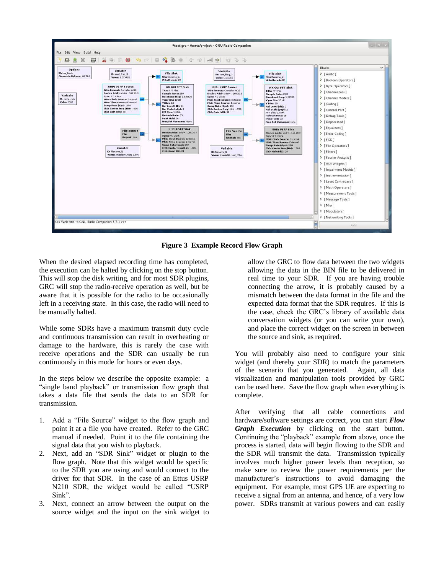

**Figure 3 Example Record Flow Graph**

<span id="page-3-0"></span>When the desired elapsed recording time has completed, the execution can be halted by clicking on the stop button. This will stop the disk writing, and for most SDR plugins, GRC will stop the radio-receive operation as well, but be aware that it is possible for the radio to be occasionally left in a receiving state. In this case, the radio will need to be manually halted.

While some SDRs have a maximum transmit duty cycle and continuous transmission can result in overheating or damage to the hardware, this is rarely the case with receive operations and the SDR can usually be run continuously in this mode for hours or even days.

In the steps below we describe the opposite example: a "single band playback" or transmission flow graph that takes a data file that sends the data to an SDR for transmission.

- 1. Add a "File Source" widget to the flow graph and point it at a file you have created. Refer to the GRC manual if needed. Point it to the file containing the signal data that you wish to playback.
- 2. Next, add an "SDR Sink" widget or plugin to the flow graph. Note that this widget would be specific to the SDR you are using and would connect to the driver for that SDR. In the case of an Ettus USRP N210 SDR, the widget would be called "USRP Sink".
- 3. Next, connect an arrow between the output on the source widget and the input on the sink widget to

allow the GRC to flow data between the two widgets allowing the data in the BIN file to be delivered in real time to your SDR. If you are having trouble connecting the arrow, it is probably caused by a mismatch between the data format in the file and the expected data format that the SDR requires. If this is the case, check the GRC's library of available data conversation widgets (or you can write your own), and place the correct widget on the screen in between the source and sink, as required.

You will probably also need to configure your sink widget (and thereby your SDR) to match the parameters of the scenario that you generated. Again, all data visualization and manipulation tools provided by GRC can be used here. Save the flow graph when everything is complete.

After verifying that all cable connections and hardware/software settings are correct, you can start *Flow Graph Execution* by clicking on the start button. Continuing the "playback" example from above, once the process is started, data will begin flowing to the SDR and the SDR will transmit the data. Transmission typically involves much higher power levels than reception, so make sure to review the power requirements per the manufacturer's instructions to avoid damaging the equipment. For example, most GPS UE are expecting to receive a signal from an antenna, and hence, of a very low power. SDRs transmit at various powers and can easily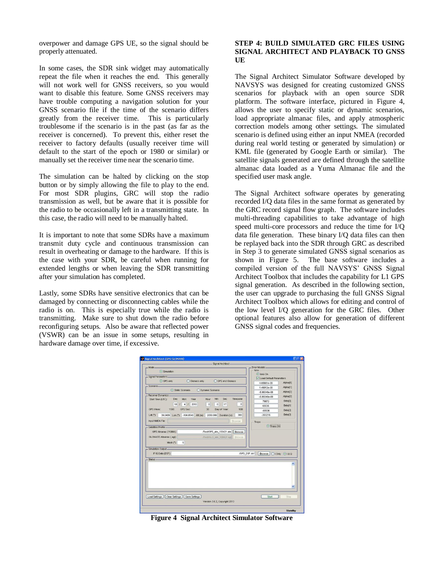overpower and damage GPS UE, so the signal should be properly attenuated.

In some cases, the SDR sink widget may automatically repeat the file when it reaches the end. This generally will not work well for GNSS receivers, so you would want to disable this feature. Some GNSS receivers may have trouble computing a navigation solution for your GNSS scenario file if the time of the scenario differs greatly from the receiver time. This is particularly troublesome if the scenario is in the past (as far as the receiver is concerned). To prevent this, either reset the receiver to factory defaults (usually receiver time will default to the start of the epoch or 1980 or similar) or manually set the receiver time near the scenario time.

The simulation can be halted by clicking on the stop button or by simply allowing the file to play to the end. For most SDR plugins, GRC will stop the radio transmission as well, but be aware that it is possible for the radio to be occasionally left in a transmitting state. In this case, the radio will need to be manually halted.

It is important to note that some SDRs have a maximum transmit duty cycle and continuous transmission can result in overheating or damage to the hardware. If this is the case with your SDR, be careful when running for extended lengths or when leaving the SDR transmitting after your simulation has completed.

Lastly, some SDRs have sensitive electronics that can be damaged by connecting or disconnecting cables while the radio is on. This is especially true while the radio is transmitting. Make sure to shut down the radio before reconfiguring setups. Also be aware that reflected power (VSWR) can be an issue in some setups, resulting in hardware damage over time, if excessive.

## **STEP 4: BUILD SIMULATED GRC FILES USING SIGNAL ARCHITECT AND PLAYBACK TO GNSS UE**

The Signal Architect Simulator Software developed by NAVSYS was designed for creating customized GNSS scenarios for playback with an open source SDR platform. The software interface, pictured in [Figure 4,](#page-4-0) allows the user to specify static or dynamic scenarios, load appropriate almanac files, and apply atmospheric correction models among other settings. The simulated scenario is defined using either an input NMEA (recorded during real world testing or generated by simulation) or KML file (generated by Google Earth or similar). The satellite signals generated are defined through the satellite almanac data loaded as a Yuma Almanac file and the specified user mask angle.

The Signal Architect software operates by generating recorded I/Q data files in the same format as generated by the GRC record signal flow graph. The software includes multi-threading capabilities to take advantage of high speed multi-core processors and reduce the time for I/Q data file generation. These binary I/Q data files can then be replayed back into the SDR through GRC as described in Step 3 to generate simulated GNSS signal scenarios as shown in [Figure 5.](#page-5-0) The base software includes a compiled version of the full NAVSYS' GNSS Signal Architect Toolbox that includes the capability for L1 GPS signal generation. As described in the following section, the user can upgrade to purchasing the full GNSS Signal Architect Toolbox which allows for editing and control of the low level I/Q generation for the GRC files. Other optional features also allow for generation of different GNSS signal codes and frequencies.

| $Mode -$                                                                                                                                              | Error Models-                        |                          |
|-------------------------------------------------------------------------------------------------------------------------------------------------------|--------------------------------------|--------------------------|
| Simulation                                                                                                                                            | lono                                 |                          |
| Signal Parameters-                                                                                                                                    | o lono On<br>Load Default Parameters |                          |
| O GPS only<br>C Glonass only<br><b>O GPS and Glonass</b>                                                                                              |                                      | Alpha(0)                 |
| Scenario-                                                                                                                                             | 4.65661e-09                          |                          |
| Static Scenario<br>O Dynamic Scenario                                                                                                                 | 1.49012e-08                          | Alpha(1)                 |
| Receiver Dynamics-                                                                                                                                    | $-5.96046e - 08$                     | Alpha(2)                 |
| Min<br>Sec<br>Timezone<br>Day<br>Mon<br>Year<br>Start Time (UTC):<br>Hour                                                                             | $-5.96046e - 08$                     | Alpha[3]                 |
| 4 <sup>1</sup><br>2010<br>0 <sup>2</sup><br>$0$ :<br>$\ddot{\text{o}}$<br>18f<br>17                                                                   | 79872                                | Beta[0]                  |
|                                                                                                                                                       | 65536                                | Beta[1]                  |
| <b>GPS Sec:</b><br><b>GPS Week:</b><br>1580<br>30<br>Day of Year:<br>108                                                                              | $-65536$                             | Beta[2]                  |
| 39.0489 Lon ("): -104.8548 Alt (m): 2050.099 Duration (s):<br>300<br>$Lat$ $(T)$                                                                      | $-393216$                            | Beta[3]                  |
| Input NMEA File:<br><b>Browse</b>                                                                                                                     | Tropo                                |                          |
| /Test/GPS_alm_100421.alm<br>GPS Almanac (YUMA):<br>Browse<br>GLONASS Almanac (.agl):<br>/Test/GLO alm 100421 agl Browse<br>Mask('')<br>$\overline{5}$ |                                      |                          |
|                                                                                                                                                       |                                      |                          |
| - Simulation Output-<br>IF IQ Data (DSF)<br>JGPS_DSF.dsf<br>Status-                                                                                   | Browse Olonly 0189                   | $\hat{\phantom{a}}$<br>v |

<span id="page-4-0"></span>**Figure 4 Signal Architect Simulator Software**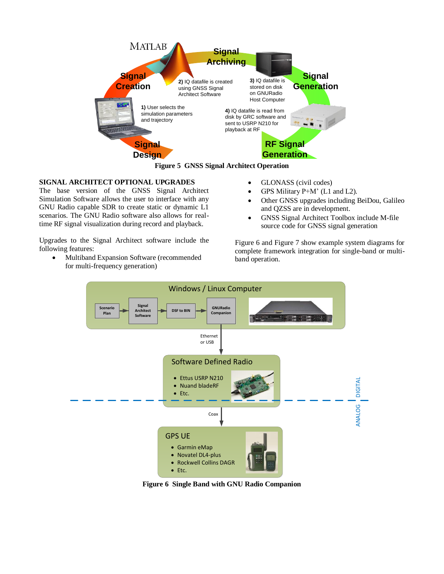

**Figure 5 GNSS Signal Architect Operation**

## <span id="page-5-0"></span>**SIGNAL ARCHITECT OPTIONAL UPGRADES**

The base version of the GNSS Signal Architect Simulation Software allows the user to interface with any GNU Radio capable SDR to create static or dynamic L1 scenarios. The GNU Radio software also allows for realtime RF signal visualization during record and playback.

Upgrades to the Signal Architect software include the following features:

 Multiband Expansion Software (recommended for multi-frequency generation)

- GLONASS (civil codes)
- GPS Military P+M' (L1 and L2).
- Other GNSS upgrades including BeiDou, Galileo and QZSS are in development.
- GNSS Signal Architect Toolbox include M-file source code for GNSS signal generation

[Figure 6](#page-5-1) and [Figure 7](#page-6-0) show example system diagrams for complete framework integration for single-band or multiband operation.



<span id="page-5-1"></span>**Figure 6 Single Band with GNU Radio Companion**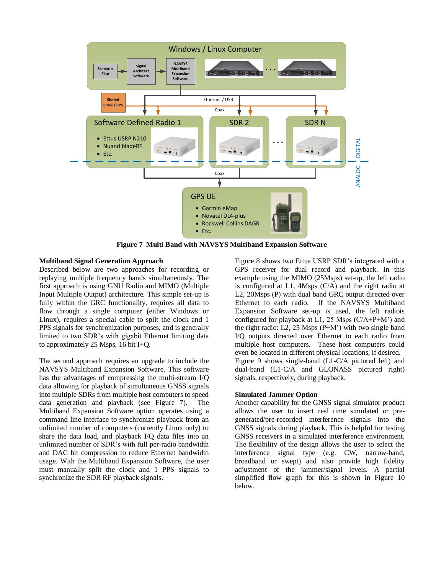

**Figure 7 Multi Band with NAVSYS Multiband Expansion Software**

#### <span id="page-6-0"></span>**Multiband Signal Generation Approach**

Described below are two approaches for recording or replaying multiple frequency bands simultaneously. The first approach is using GNU Radio and MIMO (Multiple Input Multiple Output) architecture. This simple set-up is fully within the GRC functionality, requires all data to flow through a single computer (either Windows or Linux), requires a special cable to split the clock and 1 PPS signals for synchronization purposes, and is generally limited to two SDR's with gigabit Ethernet limiting data to approximately 25 Msps, 16 bit I+Q.

The second approach requires an upgrade to include the NAVSYS Multiband Expansion Software. This software has the advantages of compressing the multi-stream I/Q data allowing for playback of simultaneous GNSS signals into multiple SDRs from multiple host computers to speed data generation and playback (see [Figure 7\)](#page-6-0). The Multiband Expansion Software option operates using a command line interface to synchronize playback from an unlimited number of computers (currently Linux only) to share the data load, and playback I/Q data files into an unlimited number of SDR's with full per-radio bandwidth and DAC bit compression to reduce Ethernet bandwidth usage. With the Multiband Expansion Software, the user must manually split the clock and 1 PPS signals to synchronize the SDR RF playback signals.

[Figure 8](#page-7-0) shows two Ettus USRP SDR's integrated with a GPS receiver for dual record and playback. In this example using the MIMO (25Msps) set-up, the left radio is configured at L1, 4Msps (C/A) and the right radio at L2, 20Msps (P) with dual band GRC output directed over Ethernet to each radio. If the NAVSYS Multiband Expansion Software set-up is used, the left radiois configured for playback at L1, 25 Msps  $(C/A+P+M^2)$  and the right radio: L2, 25 Msps  $(P+M^2)$  with two single band I/Q outputs directed over Ethernet to each radio from multiple host computers. These host computers could even be located in different physical locations, if desired. [Figure 9](#page-7-1) shows single-band (L1-C/A pictured left) and dual-band (L1-C/A and GLONASS pictured right) signals, respectively, during playback.

#### **Simulated Jammer Option**

Another capability for the GNSS signal simulator product allows the user to insert real time simulated or pregenerated/pre-recorded interference signals into the GNSS signals during playback. This is helpful for testing GNSS receivers in a simulated interference environment. The flexibility of the design allows the user to select the interference signal type (e.g. CW, narrow-band, broadband or swept) and also provide high fidelity adjustment of the jammer/signal levels. A partial simplified flow graph for this is shown in [Figure 10](#page-7-2) below.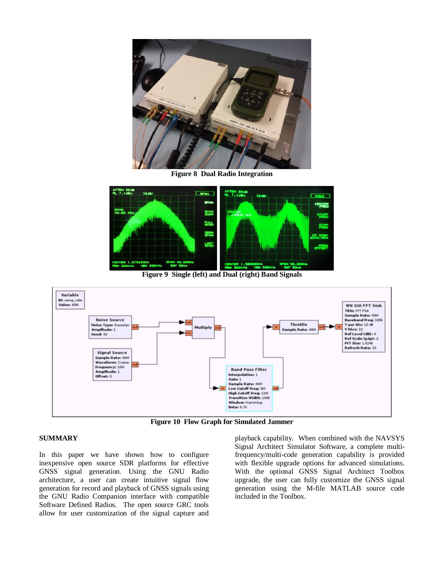

**Figure 8 Dual Radio Integration**

<span id="page-7-0"></span>

**Figure 9 Single (left) and Dual (right) Band Signals**

<span id="page-7-1"></span>

**Figure 10 Flow Graph for Simulated Jammer**

## <span id="page-7-2"></span>**SUMMARY**

In this paper we have shown how to configure inexpensive open source SDR platforms for effective GNSS signal generation. Using the GNU Radio architecture, a user can create intuitive signal flow generation for record and playback of GNSS signals using the GNU Radio Companion interface with compatible Software Defined Radios. The open source GRC tools allow for user customization of the signal capture and

playback capability. When combined with the NAVSYS Signal Architect Simulator Software, a complete multifrequency/multi-code generation capability is provided with flexible upgrade options for advanced simulations. With the optional GNSS Signal Architect Toolbox upgrade, the user can fully customize the GNSS signal generation using the M-file MATLAB source code included in the Toolbox.